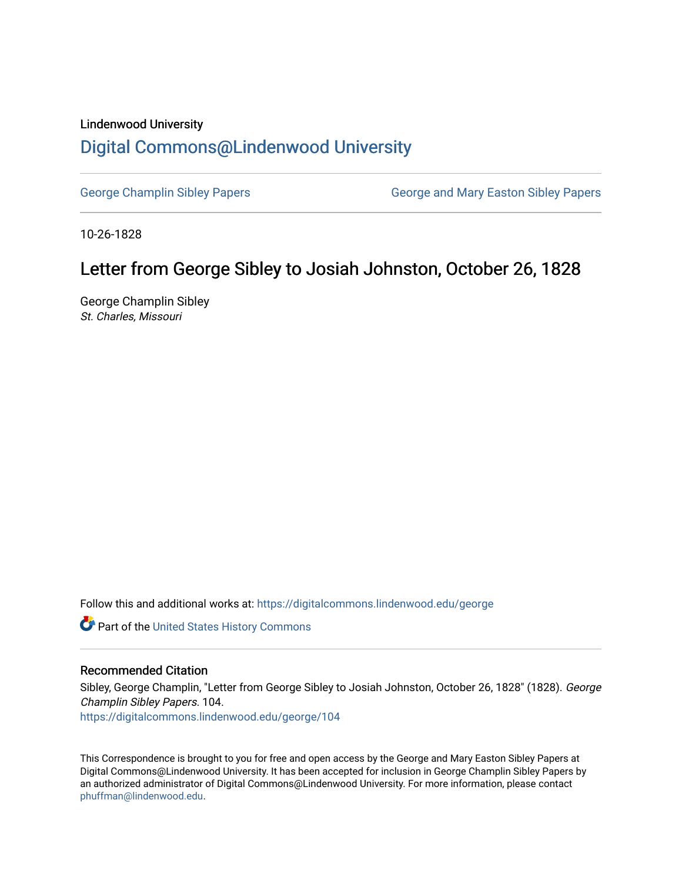## Lindenwood University

## [Digital Commons@Lindenwood University](https://digitalcommons.lindenwood.edu/)

[George Champlin Sibley Papers](https://digitalcommons.lindenwood.edu/george) George and Mary Easton Sibley Papers

10-26-1828

## Letter from George Sibley to Josiah Johnston, October 26, 1828

George Champlin Sibley St. Charles, Missouri

Follow this and additional works at: [https://digitalcommons.lindenwood.edu/george](https://digitalcommons.lindenwood.edu/george?utm_source=digitalcommons.lindenwood.edu%2Fgeorge%2F104&utm_medium=PDF&utm_campaign=PDFCoverPages)

Part of the [United States History Commons](http://network.bepress.com/hgg/discipline/495?utm_source=digitalcommons.lindenwood.edu%2Fgeorge%2F104&utm_medium=PDF&utm_campaign=PDFCoverPages) 

## Recommended Citation

Sibley, George Champlin, "Letter from George Sibley to Josiah Johnston, October 26, 1828" (1828). George Champlin Sibley Papers. 104.

[https://digitalcommons.lindenwood.edu/george/104](https://digitalcommons.lindenwood.edu/george/104?utm_source=digitalcommons.lindenwood.edu%2Fgeorge%2F104&utm_medium=PDF&utm_campaign=PDFCoverPages)

This Correspondence is brought to you for free and open access by the George and Mary Easton Sibley Papers at Digital Commons@Lindenwood University. It has been accepted for inclusion in George Champlin Sibley Papers by an authorized administrator of Digital Commons@Lindenwood University. For more information, please contact [phuffman@lindenwood.edu](mailto:phuffman@lindenwood.edu).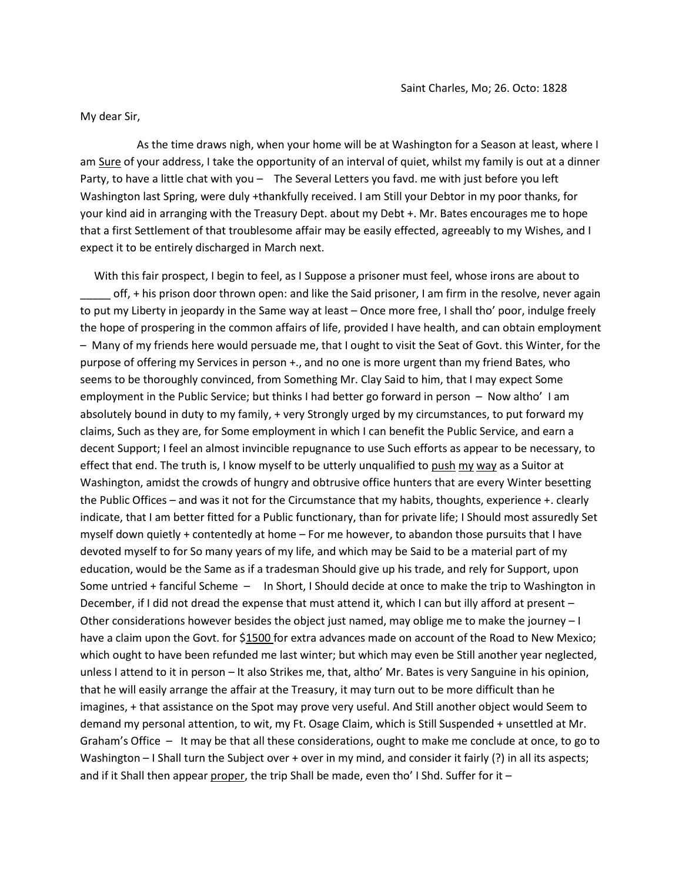My dear Sir,

 As the time draws nigh, when your home will be at Washington for a Season at least, where I am Sure of your address, I take the opportunity of an interval of quiet, whilst my family is out at a dinner Party, to have a little chat with you – The Several Letters you favd. me with just before you left Washington last Spring, were duly +thankfully received. I am Still your Debtor in my poor thanks, for your kind aid in arranging with the Treasury Dept. about my Debt +. Mr. Bates encourages me to hope that a first Settlement of that troublesome affair may be easily effected, agreeably to my Wishes, and I expect it to be entirely discharged in March next.

 With this fair prospect, I begin to feel, as I Suppose a prisoner must feel, whose irons are about to off, + his prison door thrown open: and like the Said prisoner, I am firm in the resolve, never again to put my Liberty in jeopardy in the Same way at least – Once more free, I shall tho' poor, indulge freely the hope of prospering in the common affairs of life, provided I have health, and can obtain employment – Many of my friends here would persuade me, that I ought to visit the Seat of Govt. this Winter, for the purpose of offering my Services in person +., and no one is more urgent than my friend Bates, who seems to be thoroughly convinced, from Something Mr. Clay Said to him, that I may expect Some employment in the Public Service; but thinks I had better go forward in person – Now altho' I am absolutely bound in duty to my family, + very Strongly urged by my circumstances, to put forward my claims, Such as they are, for Some employment in which I can benefit the Public Service, and earn a decent Support; I feel an almost invincible repugnance to use Such efforts as appear to be necessary, to effect that end. The truth is, I know myself to be utterly unqualified to push my way as a Suitor at Washington, amidst the crowds of hungry and obtrusive office hunters that are every Winter besetting the Public Offices – and was it not for the Circumstance that my habits, thoughts, experience +. clearly indicate, that I am better fitted for a Public functionary, than for private life; I Should most assuredly Set myself down quietly + contentedly at home – For me however, to abandon those pursuits that I have devoted myself to for So many years of my life, and which may be Said to be a material part of my education, would be the Same as if a tradesman Should give up his trade, and rely for Support, upon Some untried + fanciful Scheme – In Short, I Should decide at once to make the trip to Washington in December, if I did not dread the expense that must attend it, which I can but illy afford at present – Other considerations however besides the object just named, may oblige me to make the journey – I have a claim upon the Govt. for \$1500 for extra advances made on account of the Road to New Mexico; which ought to have been refunded me last winter; but which may even be Still another year neglected, unless I attend to it in person – It also Strikes me, that, altho' Mr. Bates is very Sanguine in his opinion, that he will easily arrange the affair at the Treasury, it may turn out to be more difficult than he imagines, + that assistance on the Spot may prove very useful. And Still another object would Seem to demand my personal attention, to wit, my Ft. Osage Claim, which is Still Suspended + unsettled at Mr. Graham's Office – It may be that all these considerations, ought to make me conclude at once, to go to Washington – I Shall turn the Subject over + over in my mind, and consider it fairly (?) in all its aspects; and if it Shall then appear proper, the trip Shall be made, even tho' I Shd. Suffer for it  $-$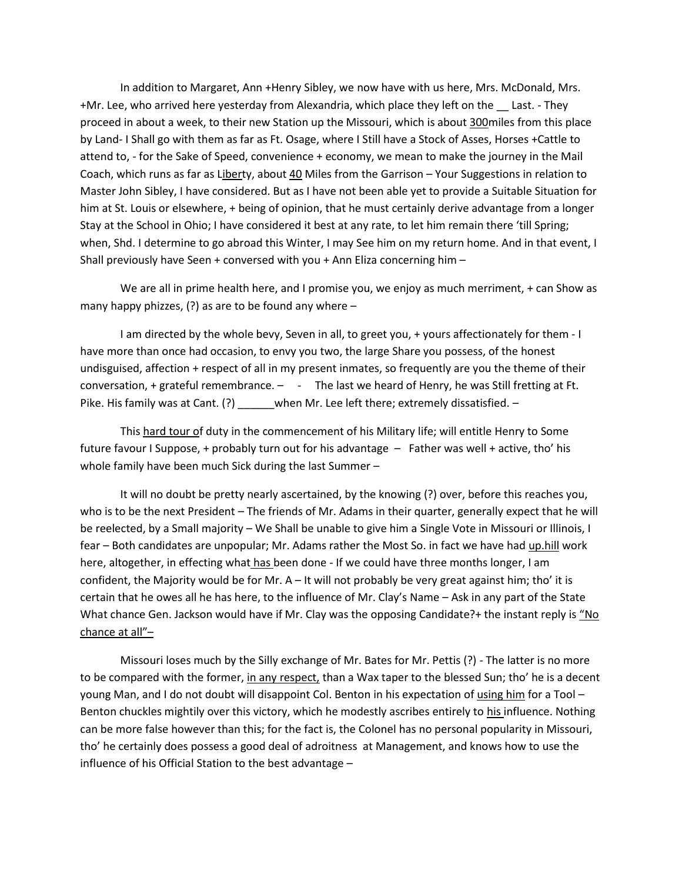In addition to Margaret, Ann +Henry Sibley, we now have with us here, Mrs. McDonald, Mrs. +Mr. Lee, who arrived here yesterday from Alexandria, which place they left on the \_\_ Last. - They proceed in about a week, to their new Station up the Missouri, which is about 300miles from this place by Land- I Shall go with them as far as Ft. Osage, where I Still have a Stock of Asses, Horses +Cattle to attend to, - for the Sake of Speed, convenience + economy, we mean to make the journey in the Mail Coach, which runs as far as Liberty, about 40 Miles from the Garrison - Your Suggestions in relation to Master John Sibley, I have considered. But as I have not been able yet to provide a Suitable Situation for him at St. Louis or elsewhere, + being of opinion, that he must certainly derive advantage from a longer Stay at the School in Ohio; I have considered it best at any rate, to let him remain there 'till Spring; when, Shd. I determine to go abroad this Winter, I may See him on my return home. And in that event, I Shall previously have Seen + conversed with you + Ann Eliza concerning him –

We are all in prime health here, and I promise you, we enjoy as much merriment, + can Show as many happy phizzes,  $(?)$  as are to be found any where  $-$ 

I am directed by the whole bevy, Seven in all, to greet you, + yours affectionately for them - I have more than once had occasion, to envy you two, the large Share you possess, of the honest undisguised, affection + respect of all in my present inmates, so frequently are you the theme of their conversation, + grateful remembrance. – - The last we heard of Henry, he was Still fretting at Ft. Pike. His family was at Cant. (?) when Mr. Lee left there; extremely dissatisfied. –

This hard tour of duty in the commencement of his Military life; will entitle Henry to Some future favour I Suppose, + probably turn out for his advantage – Father was well + active, tho' his whole family have been much Sick during the last Summer –

It will no doubt be pretty nearly ascertained, by the knowing (?) over, before this reaches you, who is to be the next President - The friends of Mr. Adams in their quarter, generally expect that he will be reelected, by a Small majority – We Shall be unable to give him a Single Vote in Missouri or Illinois, I fear – Both candidates are unpopular; Mr. Adams rather the Most So. in fact we have had up.hill work here, altogether, in effecting what has been done - If we could have three months longer, I am confident, the Majority would be for Mr. A – It will not probably be very great against him; tho' it is certain that he owes all he has here, to the influence of Mr. Clay's Name – Ask in any part of the State What chance Gen. Jackson would have if Mr. Clay was the opposing Candidate?+ the instant reply is "No chance at all"–

Missouri loses much by the Silly exchange of Mr. Bates for Mr. Pettis (?) - The latter is no more to be compared with the former, in any respect, than a Wax taper to the blessed Sun; tho' he is a decent young Man, and I do not doubt will disappoint Col. Benton in his expectation of using him for a Tool – Benton chuckles mightily over this victory, which he modestly ascribes entirely to his influence. Nothing can be more false however than this; for the fact is, the Colonel has no personal popularity in Missouri, tho' he certainly does possess a good deal of adroitness at Management, and knows how to use the influence of his Official Station to the best advantage –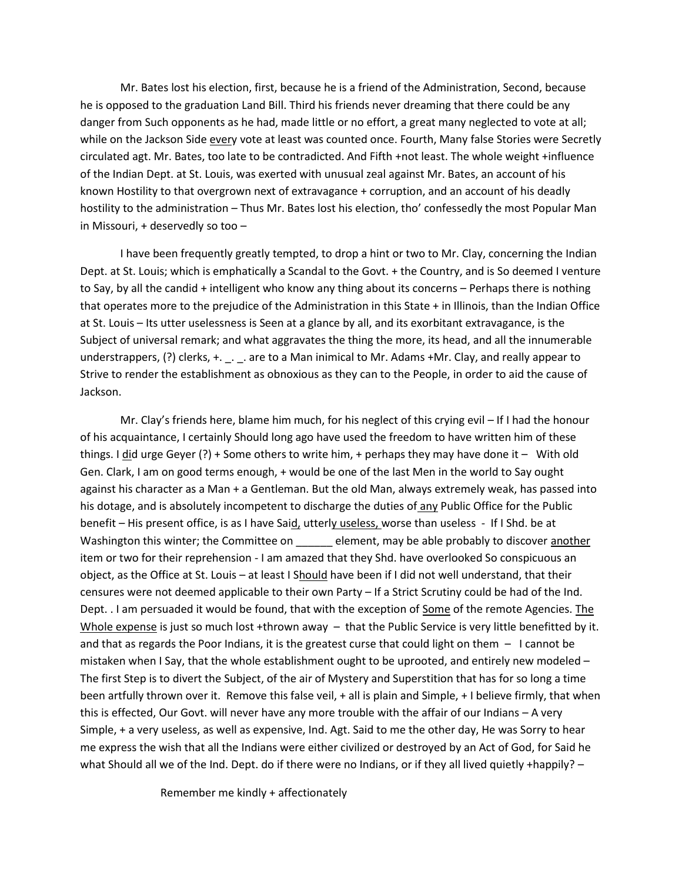Mr. Bates lost his election, first, because he is a friend of the Administration, Second, because he is opposed to the graduation Land Bill. Third his friends never dreaming that there could be any danger from Such opponents as he had, made little or no effort, a great many neglected to vote at all; while on the Jackson Side every vote at least was counted once. Fourth, Many false Stories were Secretly circulated agt. Mr. Bates, too late to be contradicted. And Fifth +not least. The whole weight +influence of the Indian Dept. at St. Louis, was exerted with unusual zeal against Mr. Bates, an account of his known Hostility to that overgrown next of extravagance + corruption, and an account of his deadly hostility to the administration – Thus Mr. Bates lost his election, tho' confessedly the most Popular Man in Missouri, + deservedly so too –

I have been frequently greatly tempted, to drop a hint or two to Mr. Clay, concerning the Indian Dept. at St. Louis; which is emphatically a Scandal to the Govt. + the Country, and is So deemed I venture to Say, by all the candid + intelligent who know any thing about its concerns – Perhaps there is nothing that operates more to the prejudice of the Administration in this State + in Illinois, than the Indian Office at St. Louis – Its utter uselessness is Seen at a glance by all, and its exorbitant extravagance, is the Subject of universal remark; and what aggravates the thing the more, its head, and all the innumerable understrappers, (?) clerks, +. \_. \_. are to a Man inimical to Mr. Adams +Mr. Clay, and really appear to Strive to render the establishment as obnoxious as they can to the People, in order to aid the cause of Jackson.

Mr. Clay's friends here, blame him much, for his neglect of this crying evil – If I had the honour of his acquaintance, I certainly Should long ago have used the freedom to have written him of these things. I did urge Geyer (?) + Some others to write him, + perhaps they may have done it - With old Gen. Clark, I am on good terms enough, + would be one of the last Men in the world to Say ought against his character as a Man + a Gentleman. But the old Man, always extremely weak, has passed into his dotage, and is absolutely incompetent to discharge the duties of any Public Office for the Public benefit – His present office, is as I have Said, utterly useless, worse than useless - If I Shd. be at Washington this winter; the Committee on element, may be able probably to discover another item or two for their reprehension - I am amazed that they Shd. have overlooked So conspicuous an object, as the Office at St. Louis – at least I Should have been if I did not well understand, that their censures were not deemed applicable to their own Party – If a Strict Scrutiny could be had of the Ind. Dept. . I am persuaded it would be found, that with the exception of Some of the remote Agencies. The Whole expense is just so much lost +thrown away – that the Public Service is very little benefitted by it. and that as regards the Poor Indians, it is the greatest curse that could light on them  $-1$  cannot be mistaken when I Say, that the whole establishment ought to be uprooted, and entirely new modeled – The first Step is to divert the Subject, of the air of Mystery and Superstition that has for so long a time been artfully thrown over it. Remove this false veil, + all is plain and Simple, + I believe firmly, that when this is effected, Our Govt. will never have any more trouble with the affair of our Indians – A very Simple, + a very useless, as well as expensive, Ind. Agt. Said to me the other day, He was Sorry to hear me express the wish that all the Indians were either civilized or destroyed by an Act of God, for Said he what Should all we of the Ind. Dept. do if there were no Indians, or if they all lived quietly +happily? -

Remember me kindly + affectionately